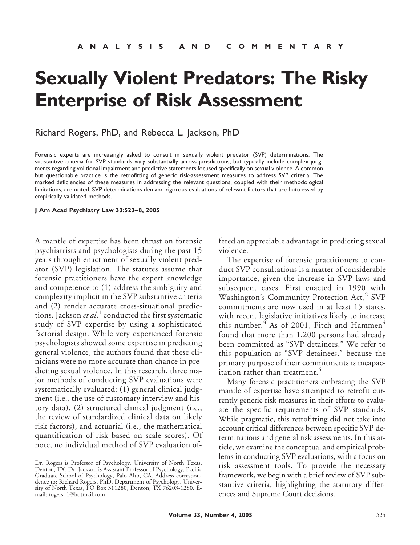# **Sexually Violent Predators: The Risky Enterprise of Risk Assessment**

## Richard Rogers, PhD, and Rebecca L. Jackson, PhD

Forensic experts are increasingly asked to consult in sexually violent predator (SVP) determinations. The substantive criteria for SVP standards vary substantially across jurisdictions, but typically include complex judgments regarding volitional impairment and predictive statements focused specifically on sexual violence. A common but questionable practice is the retrofitting of generic risk-assessment measures to address SVP criteria. The marked deficiencies of these measures in addressing the relevant questions, coupled with their methodological limitations, are noted. SVP determinations demand rigorous evaluations of relevant factors that are buttressed by empirically validated methods.

#### **J Am Acad Psychiatry Law 33:523– 8, 2005**

A mantle of expertise has been thrust on forensic psychiatrists and psychologists during the past 15 years through enactment of sexually violent predator (SVP) legislation. The statutes assume that forensic practitioners have the expert knowledge and competence to (1) address the ambiguity and complexity implicit in the SVP substantive criteria and (2) render accurate cross-situational predictions. Jackson *et al*. <sup>1</sup> conducted the first systematic study of SVP expertise by using a sophisticated factorial design. While very experienced forensic psychologists showed some expertise in predicting general violence, the authors found that these clinicians were no more accurate than chance in predicting sexual violence. In this research, three major methods of conducting SVP evaluations were systematically evaluated: (1) general clinical judgment (i.e., the use of customary interview and history data), (2) structured clinical judgment (i.e., the review of standardized clinical data on likely risk factors), and actuarial (i.e., the mathematical quantification of risk based on scale scores). Of note, no individual method of SVP evaluation of-

fered an appreciable advantage in predicting sexual violence.

The expertise of forensic practitioners to conduct SVP consultations is a matter of considerable importance, given the increase in SVP laws and subsequent cases. First enacted in 1990 with Washington's Community Protection Act,<sup>2</sup> SVP commitments are now used in at least 15 states, with recent legislative initiatives likely to increase this number.<sup>3</sup> As of 2001, Fitch and Hammen<sup>4</sup> found that more than 1,200 persons had already been committed as "SVP detainees." We refer to this population as "SVP detainees," because the primary purpose of their commitments is incapacitation rather than treatment.<sup>5</sup>

Many forensic practitioners embracing the SVP mantle of expertise have attempted to retrofit currently generic risk measures in their efforts to evaluate the specific requirements of SVP standards. While pragmatic, this retrofitting did not take into account critical differences between specific SVP determinations and general risk assessments. In this article, we examine the conceptual and empirical problems in conducting SVP evaluations, with a focus on risk assessment tools. To provide the necessary framework, we begin with a brief review of SVP substantive criteria, highlighting the statutory differences and Supreme Court decisions.

Dr. Rogers is Professor of Psychology, University of North Texas, Denton, TX. Dr. Jackson is Assistant Professor of Psychology, Pacific Graduate School of Psychology, Palo Alto, CA. Address correspondence to: Richard Rogers, PhD, Department of Psychology, University of North Texas, PO Box 311280, Denton, TX 76203-1280. Email: rogers\_1@hotmail.com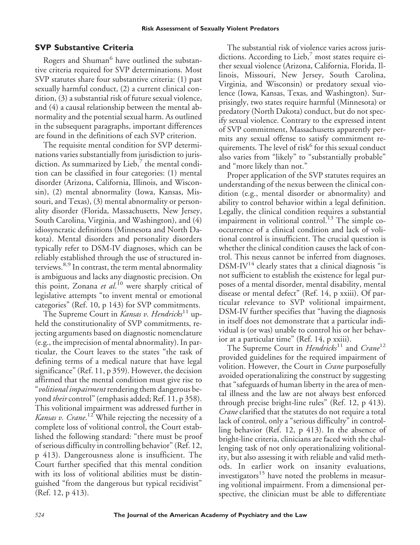## **SVP Substantive Criteria**

Rogers and Shuman<sup>6</sup> have outlined the substantive criteria required for SVP determinations. Most SVP statutes share four substantive criteria: (1) past sexually harmful conduct, (2) a current clinical condition, (3) a substantial risk of future sexual violence, and (4) a causal relationship between the mental abnormality and the potential sexual harm. As outlined in the subsequent paragraphs, important differences are found in the definitions of each SVP criterion.

The requisite mental condition for SVP determinations varies substantially from jurisdiction to jurisdiction. As summarized by Lieb, $\frac{7}{1}$  the mental condition can be classified in four categories: (1) mental disorder (Arizona, California, Illinois, and Wisconsin), (2) mental abnormality (Iowa, Kansas, Missouri, and Texas), (3) mental abnormality or personality disorder (Florida, Massachusetts, New Jersey, South Carolina, Virginia, and Washington), and (4) idiosyncratic definitions (Minnesota and North Dakota). Mental disorders and personality disorders typically refer to DSM-IV diagnoses, which can be reliably established through the use of structured interviews.<sup>8,9</sup> In contrast, the term mental abnormality is ambiguous and lacks any diagnostic precision. On this point, Zonana *et al*. <sup>10</sup> were sharply critical of legislative attempts "to invent mental or emotional categories" (Ref. 10, p 143) for SVP commitments.

The Supreme Court in *Kansas v. Hendricks*<sup>11</sup> upheld the constitutionality of SVP commitments, rejecting arguments based on diagnostic nomenclature (e.g., the imprecision of mental abnormality). In particular, the Court leaves to the states "the task of defining terms of a medical nature that have legal significance" (Ref. 11, p 359). However, the decision affirmed that the mental condition must give rise to "*volitional impairment* rendering them dangerous beyond *their* control" (emphasis added; Ref. 11, p 358). This volitional impairment was addressed further in *Kansas v. Crane*. <sup>12</sup> While rejecting the necessity of a complete loss of volitional control, the Court established the following standard: "there must be proof of serious difficulty in controlling behavior" (Ref. 12, p 413). Dangerousness alone is insufficient. The Court further specified that this mental condition with its loss of volitional abilities must be distinguished "from the dangerous but typical recidivist" (Ref. 12, p 413).

The substantial risk of violence varies across jurisdictions. According to Lieb, $\frac{7}{7}$  most states require either sexual violence (Arizona, California, Florida, Illinois, Missouri, New Jersey, South Carolina, Virginia, and Wisconsin) or predatory sexual violence (Iowa, Kansas, Texas, and Washington). Surprisingly, two states require harmful (Minnesota) or predatory (North Dakota) conduct, but do not specify sexual violence. Contrary to the expressed intent of SVP commitment, Massachusetts apparently permits any sexual offense to satisfy commitment requirements. The level of risk $<sup>6</sup>$  for this sexual conduct</sup> also varies from "likely" to "substantially probable" and "more likely than not."

Proper application of the SVP statutes requires an understanding of the nexus between the clinical condition (e.g., mental disorder or abnormality) and ability to control behavior within a legal definition. Legally, the clinical condition requires a substantial impairment in volitional control.<sup>13</sup> The simple cooccurrence of a clinical condition and lack of volitional control is insufficient. The crucial question is whether the clinical condition causes the lack of control. This nexus cannot be inferred from diagnoses.  $DSM-IV^{14}$  clearly states that a clinical diagnosis "is not sufficient to establish the existence for legal purposes of a mental disorder, mental disability, mental disease or mental defect" (Ref. 14, p xxiii). Of particular relevance to SVP volitional impairment, DSM-IV further specifies that "having the diagnosis in itself does not demonstrate that a particular individual is (or was) unable to control his or her behavior at a particular time" (Ref. 14, p xxiii).

The Supreme Court in *Hendricks*<sup>11</sup> and *Crane*<sup>12</sup> provided guidelines for the required impairment of volition. However, the Court in *Crane* purposefully avoided operationalizing the construct by suggesting that "safeguards of human liberty in the area of mental illness and the law are not always best enforced through precise bright-line rules" (Ref. 12, p 413). *Crane* clarified that the statutes do not require a total lack of control, only a "serious difficulty" in controlling behavior (Ref. 12, p 413). In the absence of bright-line criteria, clinicians are faced with the challenging task of not only operationalizing volitionality, but also assessing it with reliable and valid methods. In earlier work on insanity evaluations, investigators $15$  have noted the problems in measuring volitional impairment. From a dimensional perspective, the clinician must be able to differentiate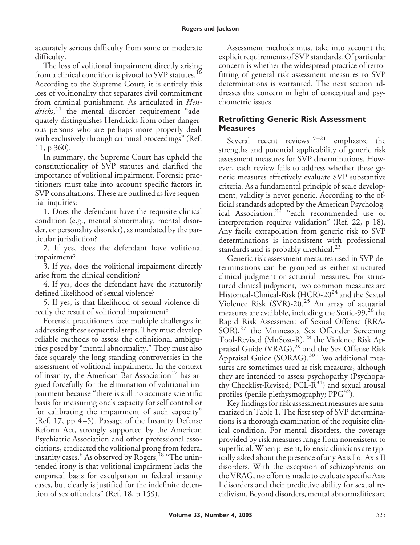accurately serious difficulty from some or moderate difficulty.

The loss of volitional impairment directly arising from a clinical condition is pivotal to SVP statutes.<sup>16</sup> According to the Supreme Court, it is entirely this loss of volitionality that separates civil commitment from criminal punishment. As articulated in *Hendricks*, <sup>11</sup> the mental disorder requirement "adequately distinguishes Hendricks from other dangerous persons who are perhaps more properly dealt with exclusively through criminal proceedings" (Ref. 11, p 360).

In summary, the Supreme Court has upheld the constitutionality of SVP statutes and clarified the importance of volitional impairment. Forensic practitioners must take into account specific factors in SVP consultations. These are outlined as five sequential inquiries:

1. Does the defendant have the requisite clinical condition (e.g., mental abnormality, mental disorder, or personality disorder), as mandated by the particular jurisdiction?

2. If yes, does the defendant have volitional impairment?

3. If yes, does the volitional impairment directly arise from the clinical condition?

4. If yes, does the defendant have the statutorily defined likelihood of sexual violence?

5. If yes, is that likelihood of sexual violence directly the result of volitional impairment?

Forensic practitioners face multiple challenges in addressing these sequential steps. They must develop reliable methods to assess the definitional ambiguities posed by "mental abnormality." They must also face squarely the long-standing controversies in the assessment of volitional impairment. In the context of insanity, the American Bar Association<sup>17</sup> has argued forcefully for the elimination of volitional impairment because "there is still no accurate scientific basis for measuring one's capacity for self control or for calibrating the impairment of such capacity" (Ref. 17, pp  $4-5$ ). Passage of the Insanity Defense Reform Act, strongly supported by the American Psychiatric Association and other professional associations, eradicated the volitional prong from federal insanity cases.<sup>6</sup> As observed by Rogers,<sup>18</sup> "The unintended irony is that volitional impairment lacks the empirical basis for exculpation in federal insanity cases, but clearly is justified for the indefinite detention of sex offenders" (Ref. 18, p 159).

Assessment methods must take into account the explicit requirements of SVP standards. Of particular concern is whether the widespread practice of retrofitting of general risk assessment measures to SVP determinations is warranted. The next section addresses this concern in light of conceptual and psychometric issues.

## **Retrofitting Generic Risk Assessment Measures**

Several recent reviews<sup>19-21</sup> emphasize the strengths and potential applicability of generic risk assessment measures for SVP determinations. However, each review fails to address whether these generic measures effectively evaluate SVP substantive criteria. As a fundamental principle of scale development, validity is never generic. According to the official standards adopted by the American Psychological Association,  $2^{2}$  "each recommended use or interpretation requires validation" (Ref. 22, p 18). Any facile extrapolation from generic risk to SVP determinations is inconsistent with professional standards and is probably unethical. $^{23}$ 

Generic risk assessment measures used in SVP determinations can be grouped as either structured clinical judgment or actuarial measures. For structured clinical judgment, two common measures are Historical-Clinical-Risk (HCR)-20<sup>24</sup> and the Sexual Violence Risk  $(SVR)$ -20.<sup>25</sup> An array of actuarial measures are available, including the Static-99, $^{26}$  the Rapid Risk Assessment of Sexual Offense (RRA-SOR),<sup>27</sup> the Minnesota Sex Offender Screening Tool-Revised (MnSost-R),<sup>28</sup> the Violence Risk Appraisal Guide (VRAG),<sup>29</sup> and the Sex Offense Risk Appraisal Guide (SORAG).<sup>30</sup> Two additional measures are sometimes used as risk measures, although they are intended to assess psychopathy (Psychopathy Checklist-Revised;  $PCL-R^{31}$ ) and sexual arousal profiles (penile plethysmography;  $PPG<sup>32</sup>$ ).

Key findings for risk assessment measures are summarized in Table 1. The first step of SVP determinations is a thorough examination of the requisite clinical condition. For mental disorders, the coverage provided by risk measures range from nonexistent to superficial. When present, forensic clinicians are typically asked about the presence of any Axis I or Axis II disorders. With the exception of schizophrenia on the VRAG, no effort is made to evaluate specific Axis I disorders and their predictive ability for sexual recidivism. Beyond disorders, mental abnormalities are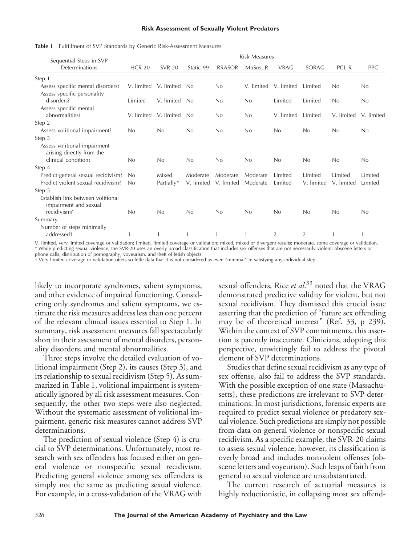#### **Risk Assessment of Sexually Violent Predators**

| Sequential Steps in SVP<br>Determinations                  | <b>Risk Measures</b> |               |            |               |            |                |                |            |            |
|------------------------------------------------------------|----------------------|---------------|------------|---------------|------------|----------------|----------------|------------|------------|
|                                                            | <b>HCR-20</b>        | <b>SVR-20</b> | Static-99  | <b>RRASOR</b> | MnSost-R   | <b>VRAG</b>    | SORAG          | PCL-R      | <b>PPG</b> |
| Step 1                                                     |                      |               |            |               |            |                |                |            |            |
| Assess specific mental disorders?                          | V. limited           | V. limited    | No         | No            | V. limited | V. limited     | Limited        | No         | No         |
| Assess specific personality                                |                      |               |            |               |            |                |                |            |            |
| disorders?                                                 | Limited              | V. limited    | No         | No            | No         | Limited        | Limited        | No         | No         |
| Assess specific mental                                     |                      |               |            |               |            |                |                |            |            |
| abnormalities?                                             | V. limited           | V. limited    | No         | No            | No         | V. limited     | Limited        | V. limited | V. limited |
| Step 2                                                     |                      |               |            |               |            |                |                |            |            |
| Assess volitional impairment?                              | No                   | No            | No         | No            | No         | No             | No             | No         | No         |
| Step 3                                                     |                      |               |            |               |            |                |                |            |            |
| Assess volitional impairment<br>arising directly from the  |                      |               |            |               |            |                |                |            |            |
| clinical condition?                                        | No                   | No            | No         | No            | No         | No             | No             | No         | No         |
| Step 4                                                     |                      |               |            |               |            |                |                |            |            |
| Predict general sexual recidivism?                         | N <sub>0</sub>       | Mixed         | Moderate   | Moderate      | Moderate   | Limited        | Limited        | Limited    | Limited    |
| Predict violent sexual recidivism?                         | No                   | Partially*    | V. limited | V. limited    | Moderate   | Limited        | V. limited     | V. limited | Limited    |
| Step 5                                                     |                      |               |            |               |            |                |                |            |            |
| Establish link between volitional<br>impairment and sexual |                      |               |            |               |            |                |                |            |            |
| recidivism?                                                | No                   | No            | No         | No            | No         | No             | No             | No         | No         |
| Summary                                                    |                      |               |            |               |            |                |                |            |            |
| Number of steps minimally<br>addressed <sup>+</sup>        | 1                    |               |            |               |            | $\overline{2}$ | $\overline{2}$ |            |            |

**Table 1** Fulfillment of SVP Standards by Generic Risk-Assessment Measures

V. limited, very limited coverage or validation; limited, limited coverage or validation; mixed, mixed or divergent results; moderate, some coverage or validation. \* While predicting sexual violence, the SVR-20 uses an overly broad classification that includes sex offenses that are not necessarily violent: obscene letters or phone calls, distribution of pornography, voyeurism, and theft of fetish objects.

† Very limited coverage or validation offers so little data that it is not considered as even "minimal" in satisfying any individual step.

likely to incorporate syndromes, salient symptoms, and other evidence of impaired functioning. Considering only syndromes and salient symptoms, we estimate the risk measures address less than one percent of the relevant clinical issues essential to Step 1. In summary, risk assessment measures fall spectacularly short in their assessment of mental disorders, personality disorders, and mental abnormalities.

Three steps involve the detailed evaluation of volitional impairment (Step 2), its causes (Step 3), and its relationship to sexual recidivism (Step 5). As summarized in Table 1, volitional impairment is systematically ignored by all risk assessment measures. Consequently, the other two steps were also neglected. Without the systematic assessment of volitional impairment, generic risk measures cannot address SVP determinations.

The prediction of sexual violence (Step 4) is crucial to SVP determinations. Unfortunately, most research with sex offenders has focused either on general violence or nonspecific sexual recidivism. Predicting general violence among sex offenders is simply not the same as predicting sexual violence. For example, in a cross-validation of the VRAG with

sexual offenders, Rice *et al*. <sup>33</sup> noted that the VRAG demonstrated predictive validity for violent, but not sexual recidivism. They dismissed this crucial issue asserting that the prediction of "future sex offending may be of theoretical interest" (Ref. 33, p 239). Within the context of SVP commitments, this assertion is patently inaccurate. Clinicians, adopting this perspective, unwittingly fail to address the pivotal element of SVP determinations.

Studies that define sexual recidivism as any type of sex offense, also fail to address the SVP standards. With the possible exception of one state (Massachusetts), these predictions are irrelevant to SVP determinations. In most jurisdictions, forensic experts are required to predict sexual violence or predatory sexual violence. Such predictions are simply not possible from data on general violence or nonspecific sexual recidivism. As a specific example, the SVR-20 claims to assess sexual violence; however, its classification is overly broad and includes nonviolent offenses (obscene letters and voyeurism). Such leaps of faith from general to sexual violence are unsubstantiated.

The current research of actuarial measures is highly reductionistic, in collapsing most sex offend-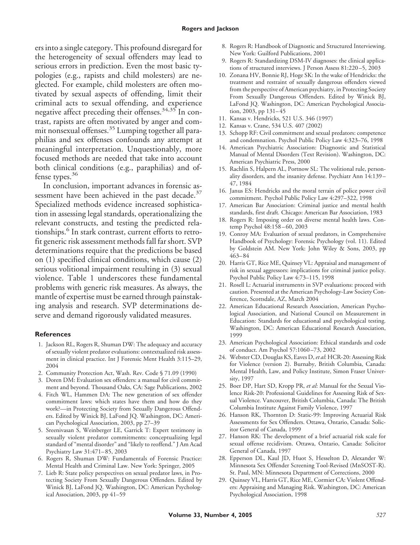ers into a single category. This profound disregard for the heterogeneity of sexual offenders may lead to serious errors in prediction. Even the most basic typologies (e.g., rapists and child molesters) are neglected. For example, child molesters are often motivated by sexual aspects of offending, limit their criminal acts to sexual offending, and experience negative affect preceding their offenses.<sup>34,35</sup> In contrast, rapists are often motivated by anger and commit nonsexual offenses.<sup>35</sup> Lumping together all paraphilias and sex offenses confounds any attempt at meaningful interpretation. Unquestionably, more focused methods are needed that take into account both clinical conditions (e.g., paraphilias) and offense types.<sup>36</sup>

In conclusion, important advances in forensic assessment have been achieved in the past decade. $37$ Specialized methods evidence increased sophistication in assessing legal standards, operationalizing the relevant constructs, and testing the predicted relationships.<sup>6</sup> In stark contrast, current efforts to retrofit generic risk assessment methods fall far short. SVP determinations require that the predictions be based on (1) specified clinical conditions, which cause (2) serious volitional impairment resulting in (3) sexual violence. Table 1 underscores these fundamental problems with generic risk measures. As always, the mantle of expertise must be earned through painstaking analysis and research. SVP determinations deserve and demand rigorously validated measures.

### **References**

- 1. Jackson RL, Rogers R, Shuman DW: The adequacy and accuracy of sexually violent predator evaluations: contextualized risk assessment in clinical practice. Int J Forensic Ment Health 3:115–29, 2004
- 2. Community Protection Act, Wash. Rev. Code § 71.09 (1990)
- 3. Doren DM: Evaluation sex offenders: a manual for civil commitment and beyond. Thousand Oaks, CA: Sage Publications, 2002
- 4. Fitch WL, Hammen DA: The new generation of sex offender commitment laws: which states have them and how do they work?—in Protecting Society from Sexually Dangerous Offenders. Edited by Winick BJ, LaFond JQ. Washington, DC: American Psychological Association, 2003, pp 27–39
- 5. Sreenivasan S, Weinberger LE, Garrick T: Expert testimony in sexually violent predator commitments: conceptualizing legal standard of "mental disorder" and "likely to reoffend." J Am Acad Psychiatry Law 31:471– 85, 2003
- 6. Rogers R, Shuman DW: Fundamentals of Forensic Practice: Mental Health and Criminal Law. New York: Springer, 2005
- 7. Lieb R: State policy perspectives on sexual predator laws, in Protecting Society From Sexually Dangerous Offenders. Edited by Winick BJ, LaFond JQ. Washington, DC: American Psychological Association, 2003, pp 41–59
- 8. Rogers R: Handbook of Diagnostic and Structured Interviewing. New York: Guilford Publications, 2001
- 9. Rogers R: Standardizing DSM-IV diagnoses: the clinical applications of structured interviews. J Person Assess 81:220 –5, 2003
- 10. Zonana HV, Bonnie RJ, Hoge SK: In the wake of Hendricks: the treatment and restraint of sexually dangerous offenders viewed from the perspective of American psychiatry, in Protecting Society From Sexually Dangerous Offenders. Edited by Winick BJ, LaFond JQ. Washington, DC: American Psychological Association, 2003, pp 131-45
- 11. Kansas v. Hendricks, 521 U.S. 346 (1997)
- 12. Kansas v. Crane, 534 U.S. 407 (2002)
- 13. Schopp RF: Civil commitment and sexual predators: competence and condemnation. Psychol Public Policy Law 4:323–76, 1998
- 14. American Psychiatric Association: Diagnostic and Statistical Manual of Mental Disorders (Text Revision). Washington, DC: American Psychiatric Press, 2000
- 15. Rachlin S, Halpern AL, Portnow SL: The volitional rule, personality disorders, and the insanity defense. Psychiatr Ann 14:139 – 47, 1984
- 16. Janus ES: Hendricks and the moral terrain of police power civil commitment. Psychol Public Policy Law 4:297–322, 1998
- 17. American Bar Association: Criminal justice and mental health standards, first draft*.* Chicago: American Bar Association, 1983
- 18. Rogers R: Imposing order on diverse mental health laws. Contemp Psychol 48:158 – 60, 2003
- 19. Conroy MA: Evaluation of sexual predators, in Comprehensive Handbook of Psychology: Forensic Psychology (vol. 11). Edited by Goldstein AM. New York: John Wiley & Sons, 2003, pp 463– 84
- 20. Harris GT, Rice ME, Quinsey VL: Appraisal and management of risk in sexual aggressors: implications for criminal justice policy. Psychol Public Policy Law 4:73–115, 1998
- 21. Rosell L: Actuarial instruments in SVP evaluations: proceed with caution. Presented at the American Psychology-Law Society Conference, Scottsdale, AZ, March 2004
- 22. American Educational Research Association, American Psychological Association, and National Council on Measurement in Education: Standards for educational and psychological testing. Washington, DC: American Educational Research Association, 1999
- 23. American Psychological Association: Ethical standards and code of conduct. Am Psychol 57:1060 –73, 2002
- 24. Webster CD, Douglas KS, Eaves D,*et al*: HCR-20: Assessing Risk for Violence (version 2). Burnaby, British Columbia, Canada: Mental Health, Law, and Policy Institute, Simon Fraser University, 1997
- 25. Boer DP, Hart SD, Kropp PR, *et al*: Manual for the Sexual Violence Risk-20: Professional Guidelines for Assessing Risk of Sexual Violence. Vancouver, British Columbia, Canada: The British Columbia Institute Against Family Violence, 1997
- 26. Hanson RK, Thornton D: Static-99: Improving Actuarial Risk Assessments for Sex Offenders. Ottawa, Ontario, Canada: Solicitor General of Canada, 1999
- 27. Hanson RK: The development of a brief actuarial risk scale for sexual offense recidivism. Ottawa, Ontario, Canada: Solicitor General of Canada, 1997
- 28. Epperson DL, Kaul JD, Huot S, Hesselton D, Alexander W: Minnesota Sex Offender Screening Tool-Revised (MnSOST-R). St. Paul, MN: Minnesota Department of Corrections, 2000
- 29. Quinsey VL, Harris GT, Rice ME, Cormier CA: Violent Offenders: Appraising and Managing Risk. Washington, DC: American Psychological Association, 1998